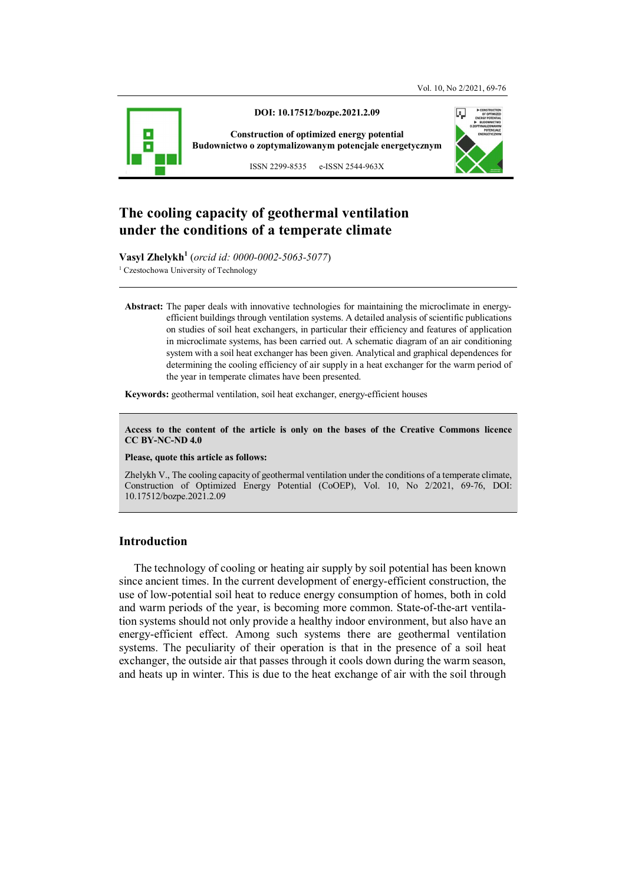



**Vasyl Zhelykh<sup>1</sup>** (*orcid id: 0000-0002-5063-5077*) <sup>1</sup> Czestochowa University of Technology

**Abstract:** The paper deals with innovative technologies for maintaining the microclimate in energyefficient buildings through ventilation systems. A detailed analysis of scientific publications on studies of soil heat exchangers, in particular their efficiency and features of application in microclimate systems, has been carried out. A schematic diagram of an air conditioning system with a soil heat exchanger has been given. Analytical and graphical dependences for determining the cooling efficiency of air supply in a heat exchanger for the warm period of the year in temperate climates have been presented.

**Keywords:** geothermal ventilation, soil heat exchanger, energy-efficient houses

**Access to the content of the article is only on the bases of the Creative Commons licence CC BY-NC-ND 4.0** 

**Please, quote this article as follows:** 

Zhelykh V., The cooling capacity of geothermal ventilation under the conditions of a temperate climate, Construction of Optimized Energy Potential (CoOEP), Vol. 10, No 2/2021, 69-76, DOI: 10.17512/bozpe.2021.2.09

#### **Introduction**

The technology of cooling or heating air supply by soil potential has been known since ancient times. In the current development of energy-efficient construction, the use of low-potential soil heat to reduce energy consumption of homes, both in cold and warm periods of the year, is becoming more common. State-of-the-art ventilation systems should not only provide a healthy indoor environment, but also have an energy-efficient effect. Among such systems there are geothermal ventilation systems. The peculiarity of their operation is that in the presence of a soil heat exchanger, the outside air that passes through it cools down during the warm season, and heats up in winter. This is due to the heat exchange of air with the soil through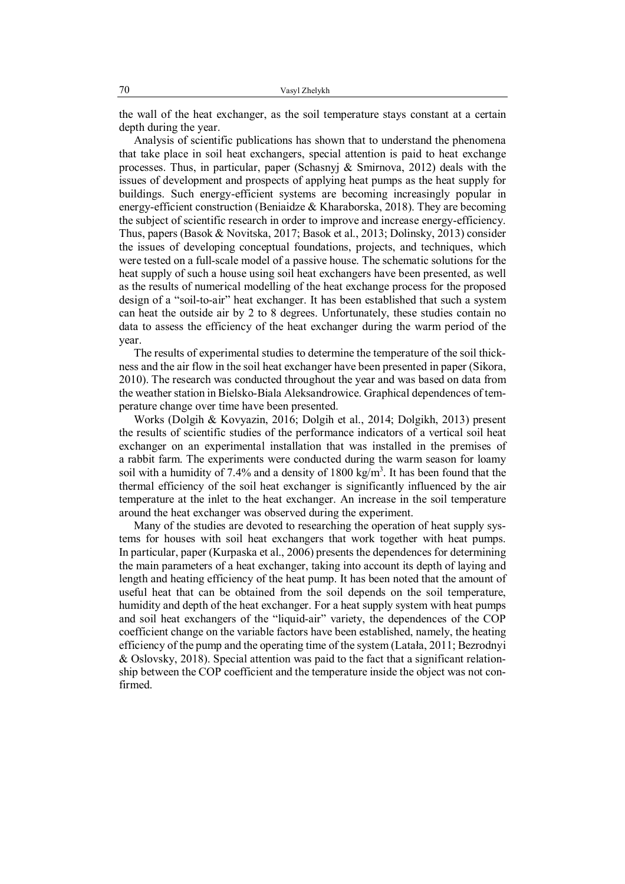the wall of the heat exchanger, as the soil temperature stays constant at a certain depth during the year.

Analysis of scientific publications has shown that to understand the phenomena that take place in soil heat exchangers, special attention is paid to heat exchange processes. Thus, in particular, paper (Schasnyj & Smirnova, 2012) deals with the issues of development and prospects of applying heat pumps as the heat supply for buildings. Such energy-efficient systems are becoming increasingly popular in energy-efficient construction (Beniaidze  $&$  Kharaborska, 2018). They are becoming the subject of scientific research in order to improve and increase energy-efficiency. Thus, papers (Basok & Novitska, 2017; Basok et al., 2013; Dolinsky, 2013) consider the issues of developing conceptual foundations, projects, and techniques, which were tested on a full-scale model of a passive house. The schematic solutions for the heat supply of such a house using soil heat exchangers have been presented, as well as the results of numerical modelling of the heat exchange process for the proposed design of a "soil-to-air" heat exchanger. It has been established that such a system can heat the outside air by 2 to 8 degrees. Unfortunately, these studies contain no data to assess the efficiency of the heat exchanger during the warm period of the year.

The results of experimental studies to determine the temperature of the soil thickness and the air flow in the soil heat exchanger have been presented in paper (Sikora, 2010). The research was conducted throughout the year and was based on data from the weather station in Bielsko-Biala Aleksandrowice. Graphical dependences of temperature change over time have been presented.

Works (Dolgih & Kovyazin, 2016; Dolgih et al., 2014; Dolgikh, 2013) present the results of scientific studies of the performance indicators of a vertical soil heat exchanger on an experimental installation that was installed in the premises of a rabbit farm. The experiments were conducted during the warm season for loamy soil with a humidity of 7.4% and a density of 1800 kg/m<sup>3</sup>. It has been found that the thermal efficiency of the soil heat exchanger is significantly influenced by the air temperature at the inlet to the heat exchanger. An increase in the soil temperature around the heat exchanger was observed during the experiment.

Many of the studies are devoted to researching the operation of heat supply systems for houses with soil heat exchangers that work together with heat pumps. In particular, paper (Kurpaska et al., 2006) presents the dependences for determining the main parameters of a heat exchanger, taking into account its depth of laying and length and heating efficiency of the heat pump. It has been noted that the amount of useful heat that can be obtained from the soil depends on the soil temperature, humidity and depth of the heat exchanger. For a heat supply system with heat pumps and soil heat exchangers of the "liquid-air" variety, the dependences of the COP coefficient change on the variable factors have been established, namely, the heating efficiency of the pump and the operating time of the system (Latała, 2011; Bezrodnyi & Oslovsky, 2018). Special attention was paid to the fact that a significant relationship between the COP coefficient and the temperature inside the object was not confirmed.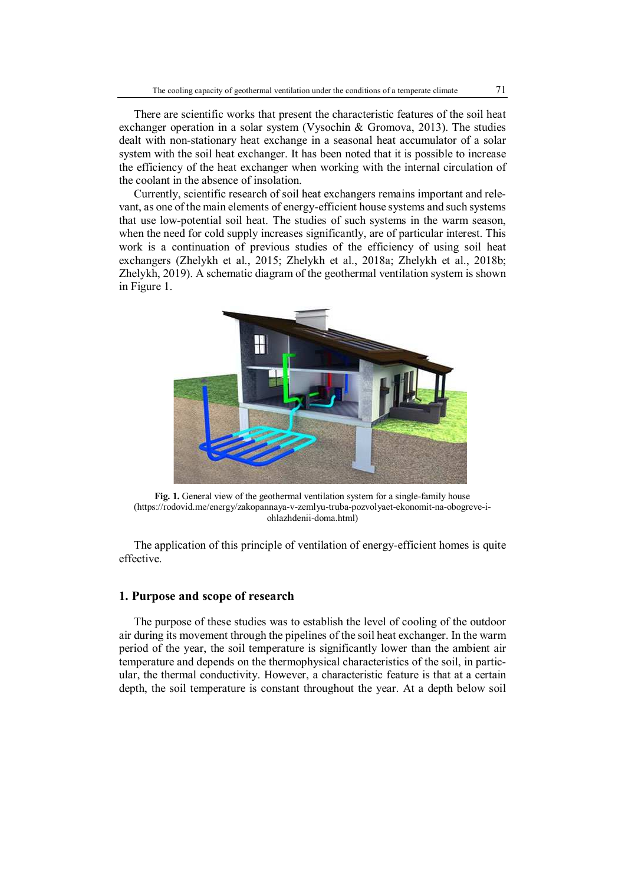There are scientific works that present the characteristic features of the soil heat exchanger operation in a solar system (Vysochin & Gromova, 2013). The studies dealt with non-stationary heat exchange in a seasonal heat accumulator of a solar system with the soil heat exchanger. It has been noted that it is possible to increase the efficiency of the heat exchanger when working with the internal circulation of the coolant in the absence of insolation.

Currently, scientific research of soil heat exchangers remains important and relevant, as one of the main elements of energy-efficient house systems and such systems that use low-potential soil heat. The studies of such systems in the warm season, when the need for cold supply increases significantly, are of particular interest. This work is a continuation of previous studies of the efficiency of using soil heat exchangers (Zhelykh et al., 2015; Zhelykh et al., 2018a; Zhelykh et al., 2018b; Zhelykh, 2019). A schematic diagram of the geothermal ventilation system is shown in Figure 1.



**Fig. 1.** General view of the geothermal ventilation system for a single-family house (https://rodovid.me/energy/zakopannaya-v-zemlyu-truba-pozvolyaet-ekonomit-na-obogreve-iohlazhdenii-doma.html)

The application of this principle of ventilation of energy-efficient homes is quite effective.

# **1. Purpose and scope of research**

The purpose of these studies was to establish the level of cooling of the outdoor air during its movement through the pipelines of the soil heat exchanger. In the warm period of the year, the soil temperature is significantly lower than the ambient air temperature and depends on the thermophysical characteristics of the soil, in particular, the thermal conductivity. However, a characteristic feature is that at a certain depth, the soil temperature is constant throughout the year. At a depth below soil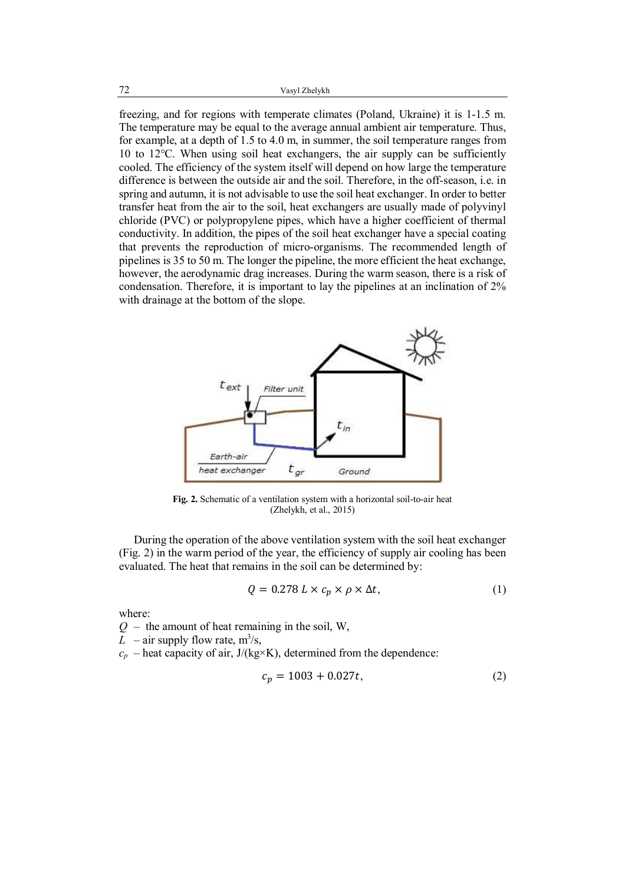freezing, and for regions with temperate climates (Poland, Ukraine) it is 1-1.5 m. The temperature may be equal to the average annual ambient air temperature. Thus, for example, at a depth of 1.5 to 4.0 m, in summer, the soil temperature ranges from 10 to 12℃. When using soil heat exchangers, the air supply can be sufficiently cooled. The efficiency of the system itself will depend on how large the temperature difference is between the outside air and the soil. Therefore, in the off-season, i.e. in spring and autumn, it is not advisable to use the soil heat exchanger. In order to better transfer heat from the air to the soil, heat exchangers are usually made of polyvinyl chloride (PVC) or polypropylene pipes, which have a higher coefficient of thermal conductivity. In addition, the pipes of the soil heat exchanger have a special coating that prevents the reproduction of micro-organisms. The recommended length of pipelines is 35 to 50 m. The longer the pipeline, the more efficient the heat exchange, however, the aerodynamic drag increases. During the warm season, there is a risk of condensation. Therefore, it is important to lay the pipelines at an inclination of 2% with drainage at the bottom of the slope.



**Fig. 2.** Schematic of a ventilation system with a horizontal soil-to-air heat (Zhelykh, et al., 2015)

During the operation of the above ventilation system with the soil heat exchanger (Fig. 2) in the warm period of the year, the efficiency of supply air cooling has been evaluated. The heat that remains in the soil can be determined by:

$$
Q = 0.278 L \times c_p \times \rho \times \Delta t,\tag{1}
$$

where:

 $Q -$  the amount of heat remaining in the soil, W,

*L* – air supply flow rate,  $m^3/s$ ,

 $c_p$  – heat capacity of air,  $J/(kg \times K)$ , determined from the dependence:

$$
c_p = 1003 + 0.027t,\t\t(2)
$$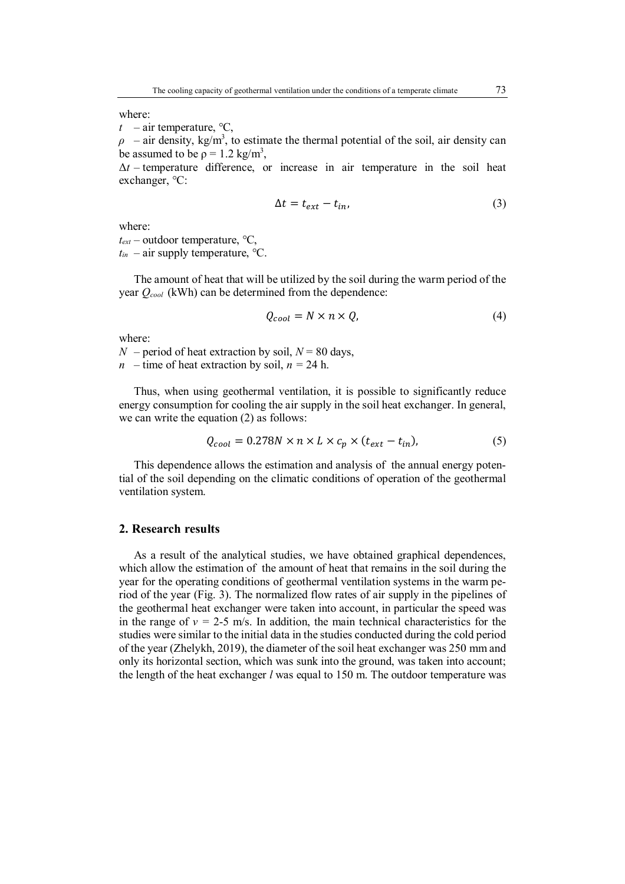where:

 $t$  – air temperature,  $\degree$ C,

 $\rho$  – air density, kg/m<sup>3</sup>, to estimate the thermal potential of the soil, air density can be assumed to be  $p = 1.2 \text{ kg/m}^3$ ,

 $\Delta t$  – temperature difference, or increase in air temperature in the soil heat exchanger, ℃:

$$
\Delta t = t_{ext} - t_{in},\tag{3}
$$

where:

*text* – outdoor temperature, ℃,

 $t_{in}$  – air supply temperature,  $\degree$ C.

The amount of heat that will be utilized by the soil during the warm period of the year *Qcool* (kWh) can be determined from the dependence:

$$
Q_{cool} = N \times n \times Q, \tag{4}
$$

where:

*N* – period of heat extraction by soil,  $N = 80$  days,

*n* – time of heat extraction by soil,  $n = 24$  h.

Thus, when using geothermal ventilation, it is possible to significantly reduce energy consumption for cooling the air supply in the soil heat exchanger. In general, we can write the equation (2) as follows:

$$
Q_{cool} = 0.278N \times n \times L \times c_p \times (t_{ext} - t_{in}),
$$
\n(5)

This dependence allows the estimation and analysis of the annual energy potential of the soil depending on the climatic conditions of operation of the geothermal ventilation system.

# **2. Research results**

As a result of the analytical studies, we have obtained graphical dependences, which allow the estimation of the amount of heat that remains in the soil during the year for the operating conditions of geothermal ventilation systems in the warm period of the year (Fig. 3). The normalized flow rates of air supply in the pipelines of the geothermal heat exchanger were taken into account, in particular the speed was in the range of  $v = 2-5$  m/s. In addition, the main technical characteristics for the studies were similar to the initial data in the studies conducted during the cold period of the year (Zhelykh, 2019), the diameter of the soil heat exchanger was 250 mm and only its horizontal section, which was sunk into the ground, was taken into account; the length of the heat exchanger *l* was equal to 150 m. The outdoor temperature was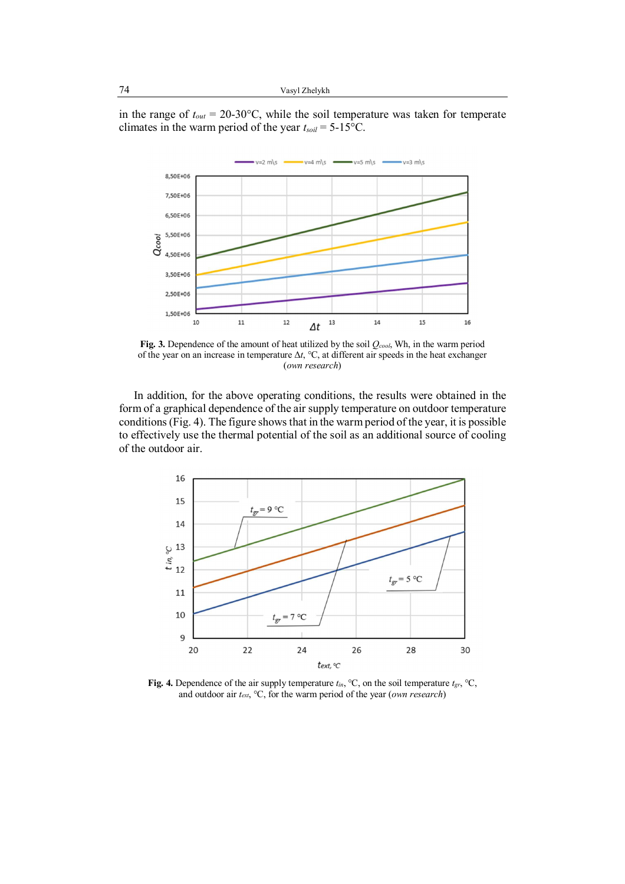in the range of *tout* = 20-30°С, while the soil temperature was taken for temperate climates in the warm period of the year *tsoil* = 5-15°С.



**Fig. 3.** Dependence of the amount of heat utilized by the soil *Qcool*, Wh, in the warm period of the year on an increase in temperature Δ*t*, ℃, at different air speeds in the heat exchanger (*own research*)

In addition, for the above operating conditions, the results were obtained in the form of a graphical dependence of the air supply temperature on outdoor temperature conditions (Fig. 4). The figure shows that in the warm period of the year, it is possible to effectively use the thermal potential of the soil as an additional source of cooling of the outdoor air.



**Fig. 4.** Dependence of the air supply temperature *tin*, ℃, on the soil temperature *tgr*, ℃, and outdoor air *text*, ℃, for the warm period of the year (*own research*)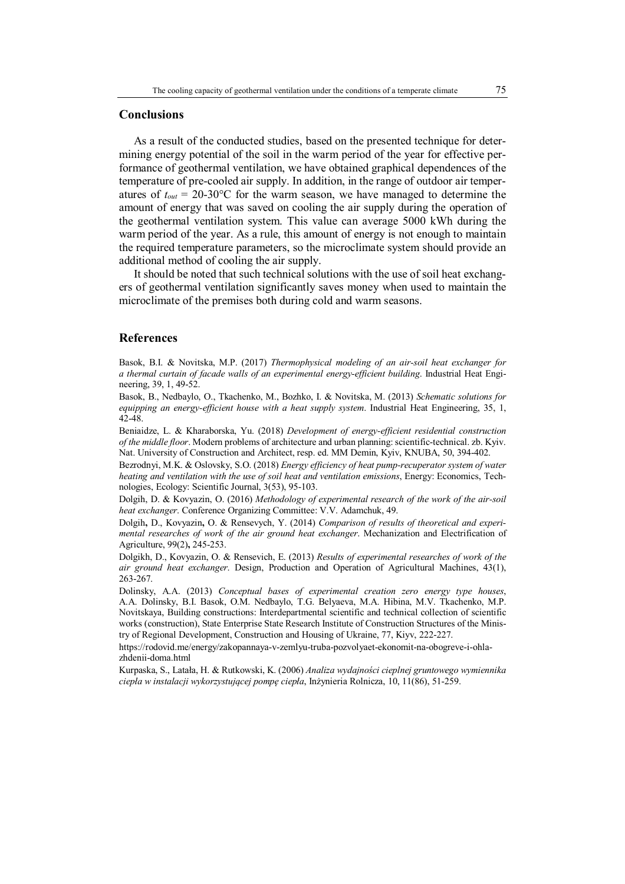### **Conclusions**

As a result of the conducted studies, based on the presented technique for determining energy potential of the soil in the warm period of the year for effective performance of geothermal ventilation, we have obtained graphical dependences of the temperature of pre-cooled air supply. In addition, in the range of outdoor air temperatures of  $t_{out} = 20{\text -}30^{\circ}\text{C}$  for the warm season, we have managed to determine the amount of energy that was saved on cooling the air supply during the operation of the geothermal ventilation system. This value can average 5000 kWh during the warm period of the year. As a rule, this amount of energy is not enough to maintain the required temperature parameters, so the microclimate system should provide an additional method of cooling the air supply.

It should be noted that such technical solutions with the use of soil heat exchangers of geothermal ventilation significantly saves money when used to maintain the microclimate of the premises both during cold and warm seasons.

### **References**

Basok, B.I. & Novitska, M.P. (2017) *Thermophysical modeling of an air-soil heat exchanger for a thermal curtain of facade walls of an experimental energy-efficient building*. Industrial Heat Engineering, 39, 1, 49-52.

Basok, B., Nedbaylo, O., Tkachenko, M., Bozhko, I. & Novitska, M. (2013) *Schematic solutions for equipping an energy-efficient house with a heat supply system*. Industrial Heat Engineering, 35, 1, 42-48.

Beniaidze, L. & Kharaborska, Yu. (2018) *Development of energy-efficient residential construction of the middle floor*. Modern problems of architecture and urban planning: scientific-technical. zb. Kyiv. Nat. University of Construction and Architect, resp. ed. MM Demin, Kyiv, KNUBA, 50, 394-402.

Bezrodnyi, M.K. & Oslovsky, S.O. (2018) *Energy efficiency of heat pump-recuperator system of water heating and ventilation with the use of soil heat and ventilation emissions*, Energy: Economics, Technologies, Ecology: Scientific Journal, 3(53), 95-103.

Dolgih, D. & Kovyazin, O. (2016) *Methodology of experimental research of the work of the air-soil heat exchanger*. Conference Organizing Committee: V.V. Adamchuk, 49.

Dolgih**,** D., Kovyazin**,** O. & Rensevych, Y. (2014) *Comparison of results of theoretical and experimental researches of work of the air ground heat exchanger*. Mechanization and Electrification of Agriculture, 99(2)**,** 245-253.

Dolgikh, D., Kovyazin, O. & Rensevich, E. (2013) *Results of experimental researches of work of the air ground heat exchanger*. Design, Production and Operation of Agricultural Machines, 43(1), 263-267.

Dolinsky, A.A. (2013) *Conceptual bases of experimental creation zero energy type houses*, А.А. Dolinsky, B.I. Basok, O.M. Nedbaylo, T.G. Belyaeva, M.A. Hibina, M.V. Tkachenko, M.P. Novitskaya, Building constructions: Interdepartmental scientific and technical collection of scientific works (construction), State Enterprise State Research Institute of Construction Structures of the Ministry of Regional Development, Construction and Housing of Ukraine, 77, Kiyv, 222-227.

https://rodovid.me/energy/zakopannaya-v-zemlyu-truba-pozvolyaet-ekonomit-na-obogreve-i-ohlazhdenii-doma.html

Kurpaska, S., Latała, H. & Rutkowski, K. (2006) *Analiza wydajności cieplnej gruntowego wymiennika ciepła w instalacji wykorzystującej pompę ciepła*, Inżynieria Rolnicza, 10, 11(86), 51-259.